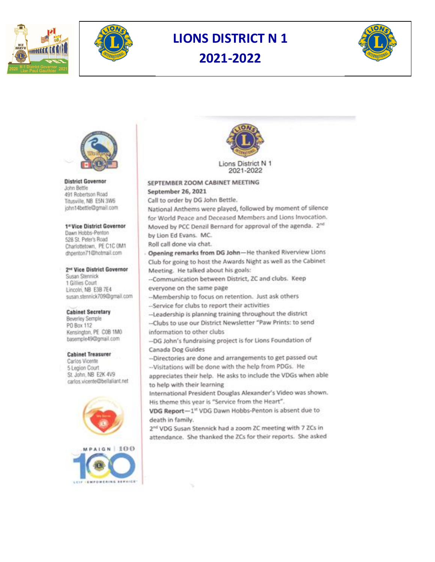



# **LIONS DISTRICT N 1** 2021-2022





**District Governor** John Bettle 491 Robertson Road Titusville, NB E5N 3W6 john14bettle@gmail.com

#### 1<sup>e</sup> Vice District Governor

Dawn Hobbs-Penton 528 St. Peter's Road Charlottetown, PE C1C OM1 dhpenton71@hotmail.com

### 2<sup>nd</sup> Vice District Governor

Susan Stennick 1 Gillies Court Lincoln, NB E3B 7E4 susan.stennick709@gmail.com

#### **Cabinet Secretary**

**Beverley Semple** PO Box 112 Kensington, PE COB 1MO basemple49@gmail.com

#### **Cabinet Treasurer**

Carlos Vicente 5 Legion Court St. John, NB E2K 4V9 carlos.vicente@bellaliant.net





## SEPTEMBER ZOOM CABINET MEETING September 26, 2021

Call to order by DG John Bettle.

National Anthems were played, followed by moment of silence for World Peace and Deceased Members and Lions Invocation. Moved by PCC Denzil Bernard for approval of the agenda. 2<sup>nd</sup> by Lion Ed Evans. MC.

Roll call done via chat.

Opening remarks from DG John-He thanked Riverview Lions Club for going to host the Awards Night as well as the Cabinet Meeting. He talked about his goals:

-- Communication between District, ZC and clubs. Keep everyone on the same page

-- Membership to focus on retention. Just ask others

-- Service for clubs to report their activities

-Leadership is planning training throughout the district

-- Clubs to use our District Newsletter "Paw Prints: to send information to other clubs

-DG John's fundraising project is for Lions Foundation of Canada Dog Guides

--Directories are done and arrangements to get passed out

-- Visitations will be done with the help from PDGs. He

appreciates their help. He asks to include the VDGs when able to help with their learning

International President Douglas Alexander's Video was shown. His theme this year is "Service from the Heart".

VDG Report-1st VDG Dawn Hobbs-Penton is absent due to death in family.

2<sup>nd</sup> VDG Susan Stennick had a zoom ZC meeting with 7 ZCs in attendance. She thanked the ZCs for their reports. She asked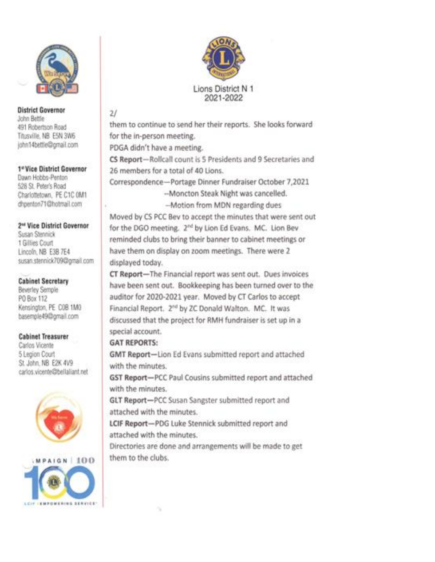

**District Governor** John Bettle 491 Robertson Road Titusville, NB E5N 3W6 john14bettle@gmail.com

1e Vice District Governor Dawn Hobbs-Penton 528 St. Peter's Road Charlottetown, PE C1C 0M1 dhpenton71@hotmail.com

2<sup>nd</sup> Vice District Governor Susan Stennick 1 Gillies Court Lincoln, NB E3B 7E4 susan.stennick709@gmail.com

**Cabinet Secretary** Beverley Semple PO Box 112 Kensington, PE COB 1MO basemple49@gmail.com

**Cabinet Treasurer** Carlos Vicente 5 Legion Court St. John, NB E2K 4V9 carlos.vicente@bellaliant.net







## $21$

them to continue to send her their reports. She looks forward for the in-person meeting.

PDGA didn't have a meeting.

CS Report-Rollcall count is 5 Presidents and 9 Secretaries and 26 members for a total of 40 Lions.

Correspondence-Portage Dinner Fundraiser October 7,2021

-Moncton Steak Night was cancelled.

-- Motion from MDN regarding dues

Moved by CS PCC Bev to accept the minutes that were sent out for the DGO meeting. 2<sup>nd</sup> by Lion Ed Evans. MC. Lion Bev reminded clubs to bring their banner to cabinet meetings or have them on display on zoom meetings. There were 2 displayed today.

CT Report-The Financial report was sent out. Dues invoices have been sent out. Bookkeeping has been turned over to the auditor for 2020-2021 year. Moved by CT Carlos to accept Financial Report. 2<sup>nd</sup> by ZC Donald Walton. MC. It was discussed that the project for RMH fundraiser is set up in a special account.

## **GAT REPORTS:**

GMT Report-Lion Ed Evans submitted report and attached with the minutes.

GST Report-PCC Paul Cousins submitted report and attached with the minutes.

GLT Report-PCC Susan Sangster submitted report and attached with the minutes.

LCIF Report-PDG Luke Stennick submitted report and attached with the minutes

Directories are done and arrangements will be made to get them to the clubs.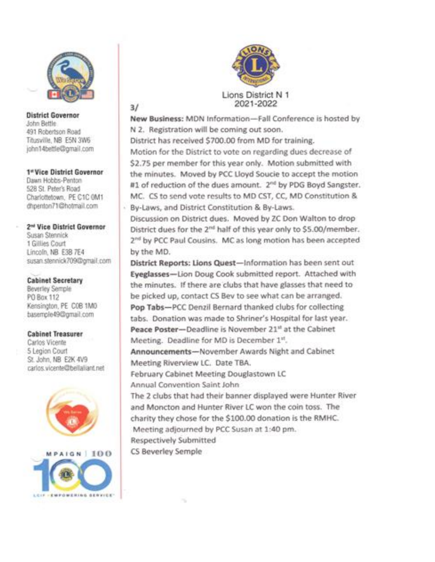

**District Governor** John Bettle 491 Robertson Road Titusville, NB E5N 3W6 john14bettle@gmail.com  $3/$ 

1e Vice District Governor Dawn Hobbs-Penton 528 St. Peter's Road Charlottetown, PE C1C 0M1 dhpenton71@hotmail.com

2<sup>nd</sup> Vice District Governor Susan Stennick 1 Gillies Court Lincoln, NB E38 7E4 susan.stennick709@gmail.com

# **Cabinet Secretary**

Beverley Semple PG Box 112 Kensington, PE COB 1MO basemple49@gmail.com

## **Cabinet Treasurer**

Carlos Vicente 5 Legion Court St. John, NB E2K 4V9 carlos vicente@bellaliant.net







Lions District N 1 2021-2022

New Business: MDN Information-Fall Conference is hosted by N 2. Registration will be coming out soon. District has received \$700.00 from MD for training. Motion for the District to vote on regarding dues decrease of \$2.75 per member for this year only. Motion submitted with the minutes. Moved by PCC Lloyd Soucie to accept the motion #1 of reduction of the dues amount. 2<sup>nd</sup> by PDG Boyd Sangster. MC. CS to send vote results to MD CST, CC, MD Constitution & By-Laws, and District Constitution & By-Laws.

Discussion on District dues. Moved by ZC Don Walton to drop District dues for the 2<sup>nd</sup> half of this year only to \$5.00/member. 2<sup>nd</sup> by PCC Paul Cousins. MC as long motion has been accepted by the MD.

District Reports: Lions Quest-Information has been sent out Eyeglasses-Lion Doug Cook submitted report. Attached with the minutes. If there are clubs that have glasses that need to be picked up, contact CS Bev to see what can be arranged. Pop Tabs-PCC Denzil Bernard thanked clubs for collecting tabs. Donation was made to Shriner's Hospital for last year. Peace Poster-Deadline is November 21st at the Cabinet Meeting. Deadline for MD is December 1st.

Announcements-November Awards Night and Cabinet Meeting Riverview LC. Date TBA.

February Cabinet Meeting Douglastown LC Annual Convention Saint John

The 2 clubs that had their banner displayed were Hunter River and Moncton and Hunter River LC won the coin toss. The charity they chose for the \$100.00 donation is the RMHC. Meeting adjourned by PCC Susan at 1:40 pm. Respectively Submitted CS Beverley Semple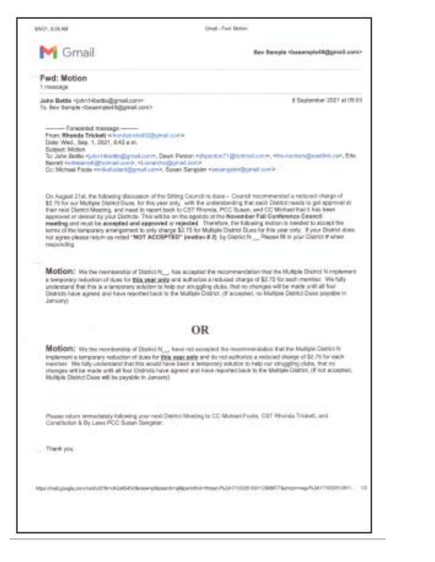85/21, 835, AM

Great - Part Motors

for family chasemolofificanal sure-

### Fwd: Motion

Gmail

1 Hespa

John Bettle </a></a></a>(chrif-foetba@gmail.com> To: Bein Seriete (Gesensterfäßgenabzen) - 8-September 2021 at 09:03

### - Forwarded massage -

From: Rhonda Trickett si hondat shall@@gmail.com>. Date: Wed., Sep. 1, 2021. 0:43 a.m. **Bubject: Motion** Too Jahry Battles = jobs i 40x180@gread.comm, Davat. Pentors = illustrial 21 ([iterimal.comm, when i contemplated into the Orie Revell systemetrig was and corp. Conservation at corp. Dc: Michael Foots veriliaturier kilomat conik, Sasan Sangster vuorangsterDcmat sonia

On August 21st, the following discussion of the Silting Cauncil re dues - Council recommended a reduned charge of \$2,79 for our Michigan District Durei. for this year andy, with the understanding that each District needs to get approval at their next Disnict Meeting, and need to report back to CST Rhonda, PCC Susan, and CC Mohael Inst 6 has been approved or device by your Districts. This will be on the operate at the Newerker Fall Conference Cearcti essetting and reusit be accepted and approved or rejected. Therefore, the following station is needed to accept the kens of the temporary amangement to only change \$2.75 for Multiple District Dues for fris year only. If your District does not agree please return as noted "NOT ACCEPTED" (wardon # 2) by District N., Please Ni in your District # which présentent

Motion: We the releast to a Dopic N., has accepted the recommendation that the Multiple District Nimplement is temporary reduction of dues for 198s year andy and sufficiolos a reduced charge of \$2.75 for each member. We fully understand that this is a temporary solution to hold our struggling clubs. that no choroes will be made with all four Disariuts have agreed and have reported back to the Multiple District; (if accepted, no Multiple District Dore premble in Jamsen/J

## OR

Motion: We the recreases at Dealet N., have rail economical the maximoandolog Eat Euclidian District N. implement a temporary reduction of dues for this seat astle and do not authorize a reduced charge of \$2.76 for each member. We fully understand that this would have been a temporary solution to help our struggling clubs, that no rifemges will be reade anti-all four Districts have agreed and have reported back to the Maltiste District, (If not accorded). Hultiple District Duce will be payable in Jamary)

Please relurs 'enrustately lolicwing your cent Dativiti Mosting to CC Mohard Fouls, CIIT Riharda Trialust, and Constitution & By Lews PCC Susan Sangear.

Trank you

https://neil.google.com/mails/Effer003at695cBenier-philosophra@genethsi-rhtspo763ArT10005104139880TBehtplimsg-PS24175033453811... <il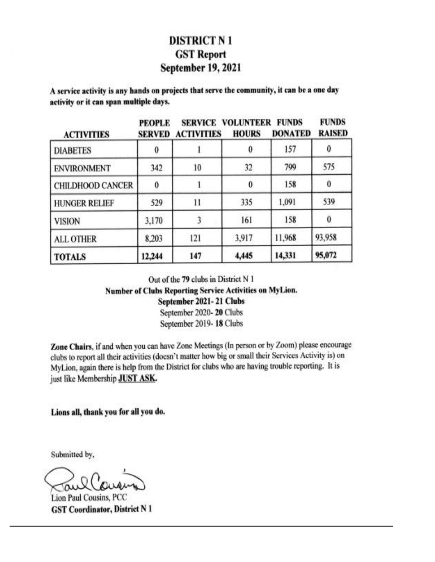# **DISTRICT N1 GST Report September 19, 2021**

A service activity is any hands on projects that serve the community, it can be a one day activity or it can span multiple days.

| <b>ACTIVITIES</b>    | <b>PEOPLE</b><br>SERVED | <b>ACTIVITIES</b> | <b>SERVICE VOLUNTEER</b><br><b>HOURS</b> | <b>FUNDS</b><br><b>DONATED</b> | <b>FUNDS</b><br><b>RAISED</b> |
|----------------------|-------------------------|-------------------|------------------------------------------|--------------------------------|-------------------------------|
| <b>DIABETES</b>      | 0                       |                   |                                          | 157                            | 0                             |
| <b>ENVIRONMENT</b>   | 342                     | 10                | 32                                       | 799                            | 575                           |
| CHILDHOOD CANCER     | 0                       |                   | 0                                        | 158                            | $\bf{0}$                      |
| <b>HUNGER RELIEF</b> | 529                     | 11                | 335                                      | 1,091                          | 539                           |
| <b>VISION</b>        | 3,170                   |                   | 161                                      | 158                            | $\bf{0}$                      |
| <b>ALL OTHER</b>     | 8,203                   | 121               | 3,917                                    | 11,968                         | 93,958                        |
| <b>TOTALS</b>        | 12,244                  | 147               | 4,445                                    | 14,331                         | 95,072                        |

Out of the 79 clubs in District N 1

Number of Clubs Reporting Service Activities on MyLion.

September 2021-21 Clubs

September 2020-20 Clubs September 2019-18 Clubs

Zone Chairs, if and when you can have Zone Meetings (In person or by Zoom) please encourage clubs to report all their activities (doesn't matter how big or small their Services Activity is) on MyLion, again there is help from the District for clubs who are having trouble reporting. It is just like Membership JUST ASK.

Lions all, thank you for all you do.

Submitted by,

Lion Paul Cousins, PCC **GST Coordinator, District N 1**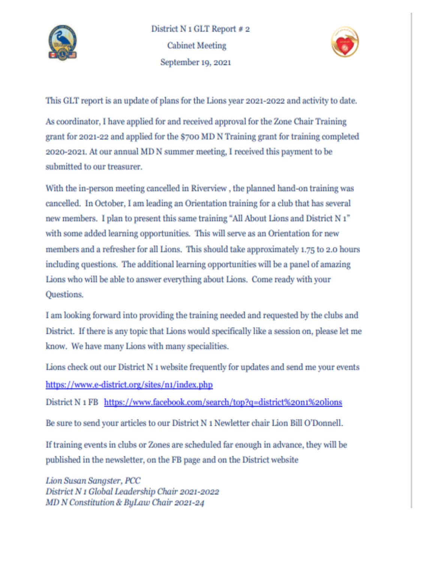



This GLT report is an update of plans for the Lions year 2021-2022 and activity to date.

As coordinator, I have applied for and received approval for the Zone Chair Training grant for 2021-22 and applied for the \$700 MD N Training grant for training completed 2020-2021. At our annual MD N summer meeting, I received this payment to be submitted to our treasurer.

With the in-person meeting cancelled in Riverview, the planned hand-on training was cancelled. In October, I am leading an Orientation training for a club that has several new members. I plan to present this same training "All About Lions and District N<sub>1</sub>" with some added learning opportunities. This will serve as an Orientation for new members and a refresher for all Lions. This should take approximately 1.75 to 2.0 hours including questions. The additional learning opportunities will be a panel of amazing Lions who will be able to answer everything about Lions. Come ready with your Questions.

I am looking forward into providing the training needed and requested by the clubs and District. If there is any topic that Lions would specifically like a session on, please let me know. We have many Lions with many specialities.

Lions check out our District N 1 website frequently for updates and send me your events https://www.e-district.org/sites/n1/index.php

District N 1 FB https://www.facebook.com/search/top?q=district%20n1%20lions

Be sure to send your articles to our District N 1 Newletter chair Lion Bill O'Donnell.

If training events in clubs or Zones are scheduled far enough in advance, they will be published in the newsletter, on the FB page and on the District website

Lion Susan Sangster, PCC District N 1 Global Leadership Chair 2021-2022 MD N Constitution & ByLaw Chair 2021-24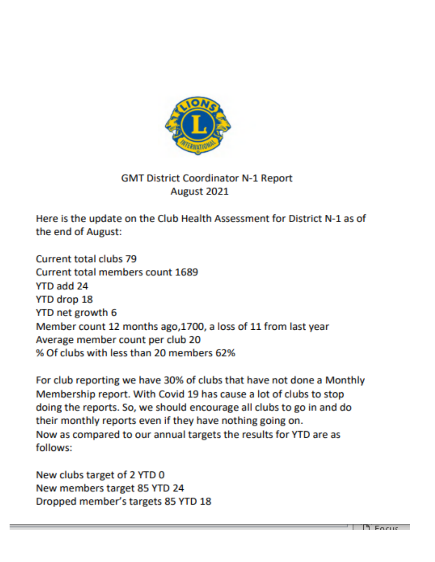

# **GMT District Coordinator N-1 Report** August 2021

Here is the update on the Club Health Assessment for District N-1 as of the end of August:

Current total clubs 79 Current total members count 1689 YTD add 24 YTD drop 18 YTD net growth 6 Member count 12 months ago, 1700, a loss of 11 from last year Average member count per club 20 % Of clubs with less than 20 members 62%

For club reporting we have 30% of clubs that have not done a Monthly Membership report. With Covid 19 has cause a lot of clubs to stop doing the reports. So, we should encourage all clubs to go in and do their monthly reports even if they have nothing going on. Now as compared to our annual targets the results for YTD are as follows:

New clubs target of 2 YTD 0 New members target 85 YTD 24 Dropped member's targets 85 YTD 18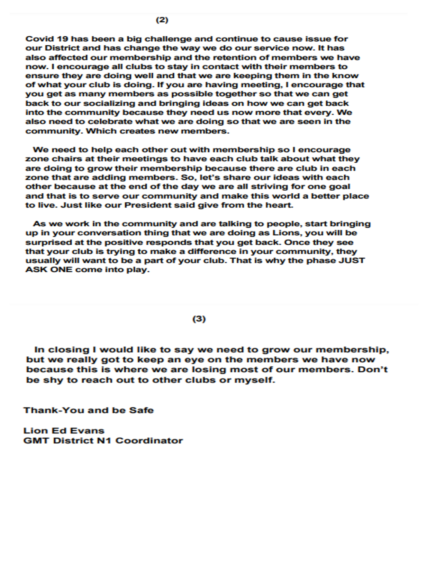Covid 19 has been a big challenge and continue to cause issue for our District and has change the way we do our service now. It has also affected our membership and the retention of members we have now. I encourage all clubs to stay in contact with their members to ensure they are doing well and that we are keeping them in the know of what your club is doing. If you are having meeting, I encourage that you get as many members as possible together so that we can get back to our socializing and bringing ideas on how we can get back into the community because they need us now more that every. We also need to celebrate what we are doing so that we are seen in the community. Which creates new members.

We need to help each other out with membership so I encourage zone chairs at their meetings to have each club talk about what they are doing to grow their membership because there are club in each zone that are adding members. So, let's share our ideas with each other because at the end of the day we are all striving for one goal and that is to serve our community and make this world a better place to live. Just like our President said give from the heart.

As we work in the community and are talking to people, start bringing up in your conversation thing that we are doing as Lions, you will be surprised at the positive responds that you get back. Once they see that your club is trying to make a difference in your community, they usually will want to be a part of your club. That is why the phase JUST ASK ONE come into play.

### $(3)$

In closing I would like to say we need to grow our membership, but we really got to keep an eye on the members we have now because this is where we are losing most of our members. Don't be shy to reach out to other clubs or myself.

**Thank-You and be Safe** 

**Lion Ed Evans GMT District N1 Coordinator**